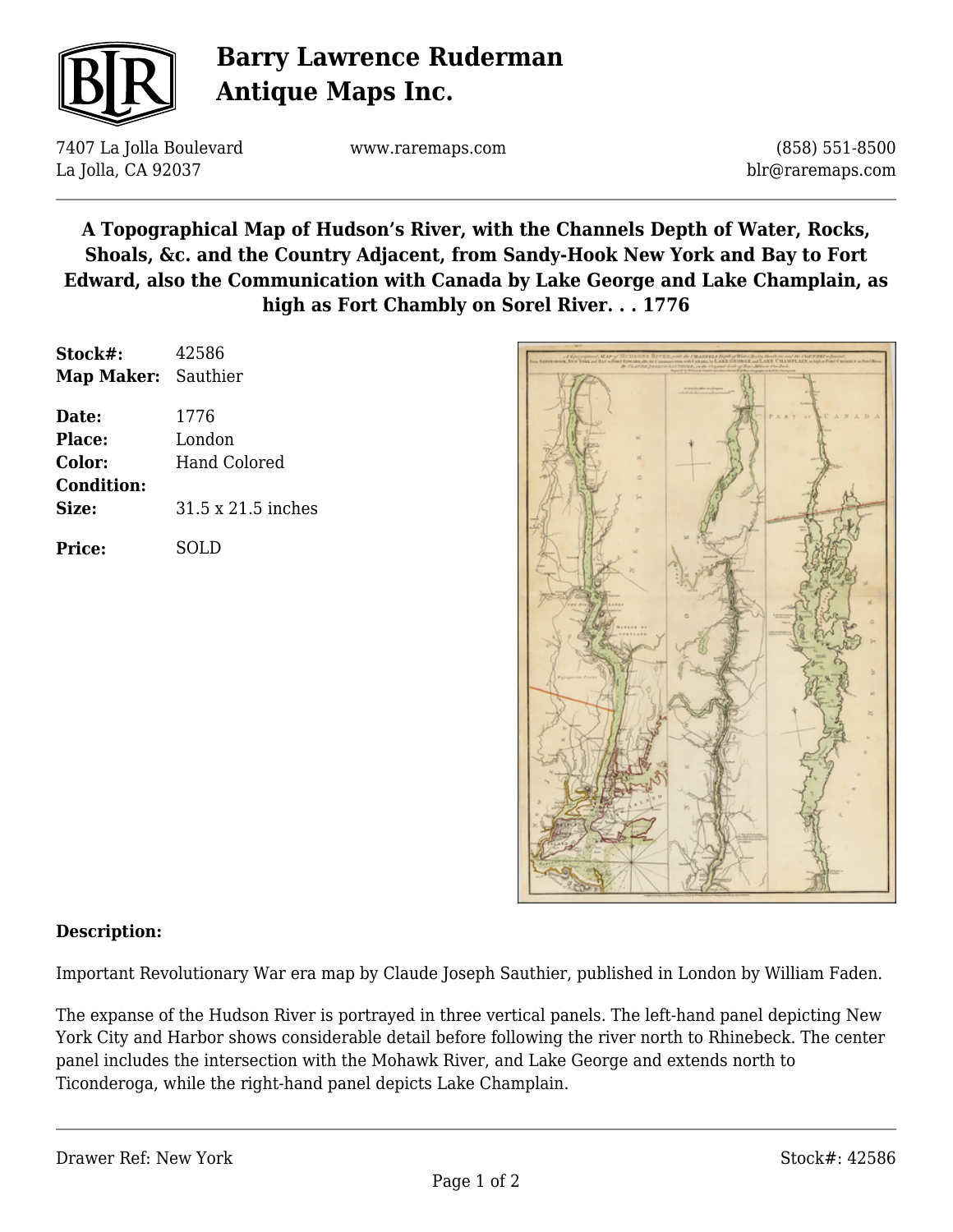

# **Barry Lawrence Ruderman Antique Maps Inc.**

7407 La Jolla Boulevard La Jolla, CA 92037

www.raremaps.com

(858) 551-8500 blr@raremaps.com

**A Topographical Map of Hudson's River, with the Channels Depth of Water, Rocks, Shoals, &c. and the Country Adjacent, from Sandy-Hook New York and Bay to Fort Edward, also the Communication with Canada by Lake George and Lake Champlain, as high as Fort Chambly on Sorel River. . . 1776**

| Stock#:           | 42586              |
|-------------------|--------------------|
| <b>Map Maker:</b> | Sauthier           |
| Date:             | 1776               |
| Place:            | London             |
| <b>Color:</b>     | Hand Colored       |
| <b>Condition:</b> |                    |
| Size:             | 31.5 x 21.5 inches |
| Price:            | SOLD               |



### **Description:**

Important Revolutionary War era map by Claude Joseph Sauthier, published in London by William Faden.

The expanse of the Hudson River is portrayed in three vertical panels. The left-hand panel depicting New York City and Harbor shows considerable detail before following the river north to Rhinebeck. The center panel includes the intersection with the Mohawk River, and Lake George and extends north to Ticonderoga, while the right-hand panel depicts Lake Champlain.